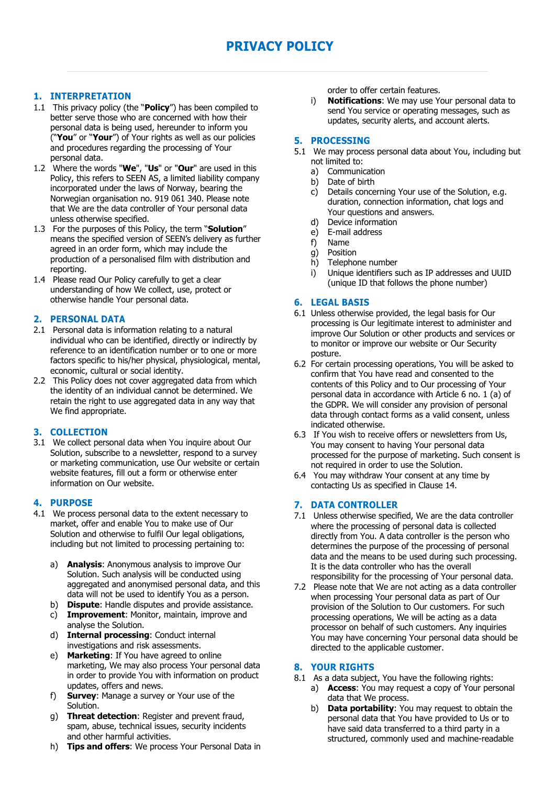# **PRIVACY POLICY**

# **1. INTERPRETATION**

- 1.1 This privacy policy (the "**Policy**") has been compiled to better serve those who are concerned with how their personal data is being used, hereunder to inform you ("**You**" or "**Your**") of Your rights as well as our policies and procedures regarding the processing of Your personal data.
- 1.2 Where the words "**We**", "**Us**" or "**Our**" are used in this Policy, this refers to SEEN AS, a limited liability company incorporated under the laws of Norway, bearing the Norwegian organisation no. 919 061 340. Please note that We are the data controller of Your personal data unless otherwise specified.
- 1.3 For the purposes of this Policy, the term "**Solution**" means the specified version of SEEN's delivery as further agreed in an order form, which may include the production of a personalised film with distribution and reporting.
- 1.4 Please read Our Policy carefully to get a clear understanding of how We collect, use, protect or otherwise handle Your personal data.

# **2. PERSONAL DATA**

- 2.1 Personal data is information relating to a natural individual who can be identified, directly or indirectly by reference to an identification number or to one or more factors specific to his/her physical, physiological, mental, economic, cultural or social identity.
- 2.2 This Policy does not cover aggregated data from which the identity of an individual cannot be determined. We retain the right to use aggregated data in any way that We find appropriate.

## **3. COLLECTION**

3.1 We collect personal data when You inquire about Our Solution, subscribe to a newsletter, respond to a survey or marketing communication, use Our website or certain website features, fill out a form or otherwise enter information on Our website.

## **4. PURPOSE**

- 4.1 We process personal data to the extent necessary to market, offer and enable You to make use of Our Solution and otherwise to fulfil Our legal obligations, including but not limited to processing pertaining to:
	- a) **Analysis**: Anonymous analysis to improve Our Solution. Such analysis will be conducted using aggregated and anonymised personal data, and this data will not be used to identify You as a person.
	- b) **Dispute**: Handle disputes and provide assistance.
	- c) **Improvement**: Monitor, maintain, improve and analyse the Solution.
	- d) **Internal processing**: Conduct internal investigations and risk assessments.
	- e) **Marketing**: If You have agreed to online marketing, We may also process Your personal data in order to provide You with information on product updates, offers and news.
	- f) **Survey**: Manage a survey or Your use of the Solution.
	- g) **Threat detection**: Register and prevent fraud, spam, abuse, technical issues, security incidents and other harmful activities.
	- h) **Tips and offers**: We process Your Personal Data in

order to offer certain features.

i) **Notifications**: We may use Your personal data to send You service or operating messages, such as updates, security alerts, and account alerts.

## **5. PROCESSING**

- 5.1 We may process personal data about You, including but not limited to:
	- a) Communication<br>b) Date of birth
	- Date of birth
	- c) Details concerning Your use of the Solution, e.g. duration, connection information, chat logs and Your questions and answers.
	- d) Device information
	- e) E-mail address
	- f) Name
	- g) Position
	- h) Telephone number
	- i) Unique identifiers such as IP addresses and UUID (unique ID that follows the phone number)

### **6. LEGAL BASIS**

- 6.1 Unless otherwise provided, the legal basis for Our processing is Our legitimate interest to administer and improve Our Solution or other products and services or to monitor or improve our website or Our Security posture.
- 6.2 For certain processing operations, You will be asked to confirm that You have read and consented to the contents of this Policy and to Our processing of Your personal data in accordance with Article 6 no. 1 (a) of the GDPR. We will consider any provision of personal data through contact forms as a valid consent, unless indicated otherwise.
- 6.3 If You wish to receive offers or newsletters from Us, You may consent to having Your personal data processed for the purpose of marketing. Such consent is not required in order to use the Solution.
- 6.4 You may withdraw Your consent at any time by contacting Us as specified in Clause 14.

## **7. DATA CONTROLLER**

- 7.1 Unless otherwise specified, We are the data controller where the processing of personal data is collected directly from You. A data controller is the person who determines the purpose of the processing of personal data and the means to be used during such processing. It is the data controller who has the overall responsibility for the processing of Your personal data.
- 7.2 Please note that We are not acting as a data controller when processing Your personal data as part of Our provision of the Solution to Our customers. For such processing operations, We will be acting as a data processor on behalf of such customers. Any inquiries You may have concerning Your personal data should be directed to the applicable customer.

### **8. YOUR RIGHTS**

- 8.1 As a data subject, You have the following rights:
	- a) **Access**: You may request a copy of Your personal data that We process.
	- b) **Data portability**: You may request to obtain the personal data that You have provided to Us or to have said data transferred to a third party in a structured, commonly used and machine-readable